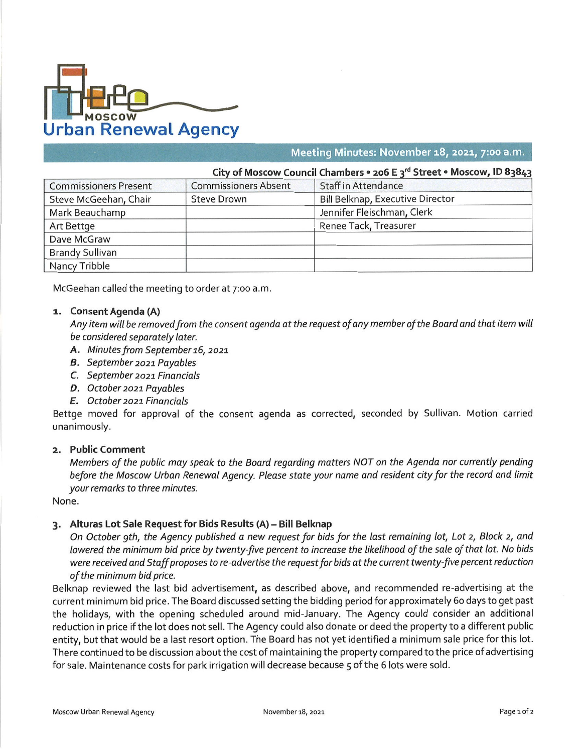

meeting minutes: November 18, 2021, 7:00 a

| City of Moscow Council Chambers $\cdot$ 206 E $3^{\circ}$ Street $\cdot$ Moscow, ID 83843 |                             |                                         |
|-------------------------------------------------------------------------------------------|-----------------------------|-----------------------------------------|
| <b>Commissioners Present</b>                                                              | <b>Commissioners Absent</b> | <b>Staff in Attendance</b>              |
| Steve McGeehan, Chair                                                                     | <b>Steve Drown</b>          | <b>Bill Belknap, Executive Director</b> |
| Mark Beauchamp                                                                            |                             | Jennifer Fleischman, Clerk              |
| Art Bettge                                                                                |                             | Renee Tack, Treasurer                   |
| Dave McGraw                                                                               |                             |                                         |
| <b>Brandy Sullivan</b>                                                                    |                             |                                         |
| Nancy Tribble                                                                             |                             |                                         |

McGeehan called the meeting to order at 7:00 a.m.

## *1.* **Consent Agenda (A)**

Any item will be removed from the consent agenda at the request of any member of the Board and that item will *be considered separately later.*

- *A. Minutes from September 16, 2021*
- *B. September 2021 Payables*
- *C. September 2021 Financials*
- *D. October 2021 Payables*
- *E. October 2021 Financials*

Bettge moved for approval of the consent agenda as corrected, seconded by Sullivan. Motion carried unanimously.

## **2. Public Comment**

Members of the public may speak to the Board regarding matters NOT on the Agenda nor currently pending before the Moscow Urban Renewal Agency. Please state your name and resident city for the record and limit *your remarks to three minutes.*

None.

## **3. Alturas Lot Sale Request for Bids Results (A) - Bill Belknap**

On October 9th, the Agency published a new request for bids for the last remaining lot, Lot 2, Block 2, and lowered the minimum bid price by twenty-five percent to increase the likelihood of the sale of that lot. No bids were received and Staff proposes to re-advertise the request for bids at the current twenty-five percent reduction *of the minimum bid price.*

Belknap reviewed the last bid advertisement, as described above, and recommended re-advertising at the current minimum bid price. The Board discussed setting the bidding period for approximately 60 days to get past the holidays, with the opening scheduled around mid-January. The Agency could consider an additional reduction in price if the lot does not sell. The Agency could also donate or deed the property to <sup>a</sup> different public entity, but that would be <sup>a</sup> last resort option. The Board has not yet identified <sup>a</sup> minimum sale price for this lot. There continued to be discussion about the cost of maintaining the property compared to the price of advertising for sale. Maintenance costs for park irrigation will decrease because 5 of the 6 lots were sold.